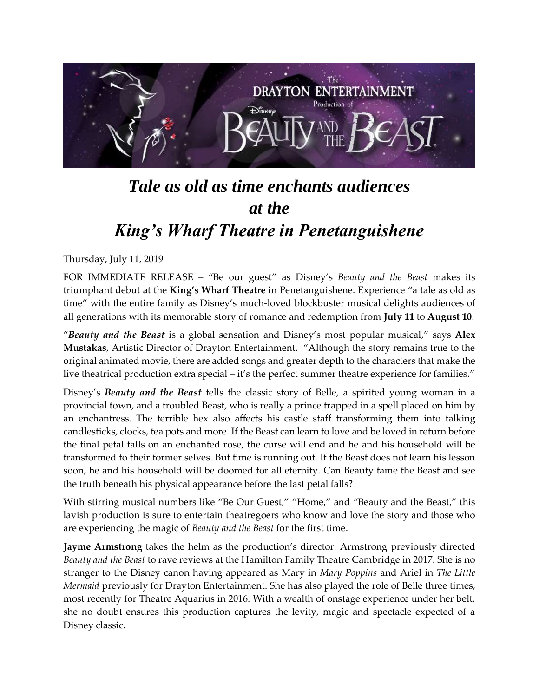

## *Tale as old as time enchants audiences at the King's Wharf Theatre in Penetanguishene*

Thursday, July 11, 2019

FOR IMMEDIATE RELEASE – "Be our guest" as Disney's *Beauty and the Beast* makes its triumphant debut at the **King's Wharf Theatre** in Penetanguishene. Experience "a tale as old as time" with the entire family as Disney's much-loved blockbuster musical delights audiences of all generations with its memorable story of romance and redemption from **July 11** to **August 10**.

"*Beauty and the Beast* is a global sensation and Disney's most popular musical," says **Alex Mustakas**, Artistic Director of Drayton Entertainment. "Although the story remains true to the original animated movie, there are added songs and greater depth to the characters that make the live theatrical production extra special – it's the perfect summer theatre experience for families."

Disney's *Beauty and the Beast* tells the classic story of Belle, a spirited young woman in a provincial town, and a troubled Beast, who is really a prince trapped in a spell placed on him by an enchantress. The terrible hex also affects his castle staff transforming them into talking candlesticks, clocks, tea pots and more. If the Beast can learn to love and be loved in return before the final petal falls on an enchanted rose, the curse will end and he and his household will be transformed to their former selves. But time is running out. If the Beast does not learn his lesson soon, he and his household will be doomed for all eternity. Can Beauty tame the Beast and see the truth beneath his physical appearance before the last petal falls?

With stirring musical numbers like "Be Our Guest," "Home," and "Beauty and the Beast," this lavish production is sure to entertain theatregoers who know and love the story and those who are experiencing the magic of *Beauty and the Beast* for the first time.

**Jayme Armstrong** takes the helm as the production's director*.* Armstrong previously directed *Beauty and the Beast* to rave reviews at the Hamilton Family Theatre Cambridge in 2017. She is no stranger to the Disney canon having appeared as Mary in *Mary Poppins* and Ariel in *The Little Mermaid* previously for Drayton Entertainment. She has also played the role of Belle three times, most recently for Theatre Aquarius in 2016. With a wealth of onstage experience under her belt, she no doubt ensures this production captures the levity, magic and spectacle expected of a Disney classic.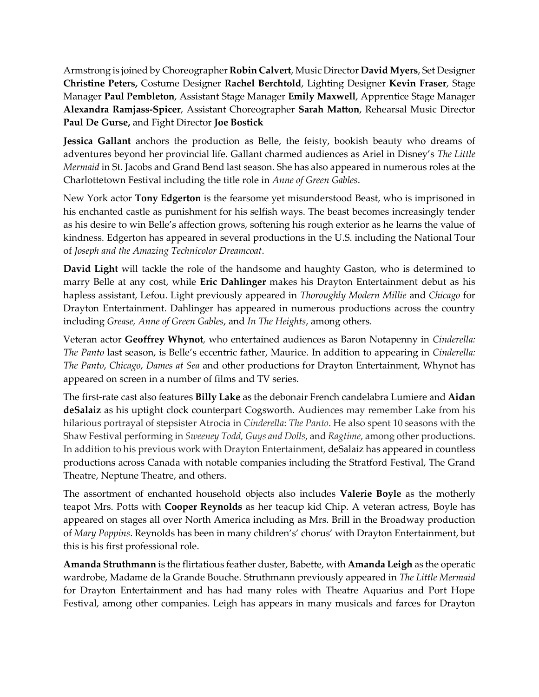Armstrong is joined by Choreographer **Robin Calvert**, Music Director **David Myers**, Set Designer **Christine Peters,** Costume Designer **Rachel Berchtold**, Lighting Designer **Kevin Fraser**, Stage Manager **Paul Pembleton**, Assistant Stage Manager **Emily Maxwell**, Apprentice Stage Manager **Alexandra Ramjass-Spicer**, Assistant Choreographer **Sarah Matton**, Rehearsal Music Director **Paul De Gurse,** and Fight Director **Joe Bostick**

**Jessica Gallant** anchors the production as Belle, the feisty, bookish beauty who dreams of adventures beyond her provincial life. Gallant charmed audiences as Ariel in Disney's *The Little Mermaid* in St. Jacobs and Grand Bend last season. She has also appeared in numerous roles at the Charlottetown Festival including the title role in *Anne of Green Gables*.

New York actor **Tony Edgerton** is the fearsome yet misunderstood Beast, who is imprisoned in his enchanted castle as punishment for his selfish ways. The beast becomes increasingly tender as his desire to win Belle's affection grows, softening his rough exterior as he learns the value of kindness. Edgerton has appeared in several productions in the U.S. including the National Tour of *Joseph and the Amazing Technicolor Dreamcoat*.

**David Light** will tackle the role of the handsome and haughty Gaston, who is determined to marry Belle at any cost, while **Eric Dahlinger** makes his Drayton Entertainment debut as his hapless assistant, Lefou. Light previously appeared in *Thoroughly Modern Millie* and *Chicago* for Drayton Entertainment. Dahlinger has appeared in numerous productions across the country including *Grease, Anne of Green Gables*, and *In The Heights*, among others.

Veteran actor **Geoffrey Whynot***,* who entertained audiences as Baron Notapenny in *Cinderella: The Panto* last season, is Belle's eccentric father, Maurice. In addition to appearing in *Cinderella: The Panto*, *Chicago*, *Dames at Sea* and other productions for Drayton Entertainment, Whynot has appeared on screen in a number of films and TV series.

The first-rate cast also features **Billy Lake** as the debonair French candelabra Lumiere and **Aidan deSalaiz** as his uptight clock counterpart Cogsworth. Audiences may remember Lake from his hilarious portrayal of stepsister Atrocia in *Cinderella*: *The Panto*. He also spent 10 seasons with the Shaw Festival performing in *Sweeney Todd, Guys and Dolls*, and *Ragtime*, among other productions. In addition to his previous work with Drayton Entertainment, deSalaiz has appeared in countless productions across Canada with notable companies including the Stratford Festival, The Grand Theatre, Neptune Theatre, and others.

The assortment of enchanted household objects also includes **Valerie Boyle** as the motherly teapot Mrs. Potts with **Cooper Reynolds** as her teacup kid Chip. A veteran actress, Boyle has appeared on stages all over North America including as Mrs. Brill in the Broadway production of *Mary Poppins*. Reynolds has been in many children's' chorus' with Drayton Entertainment, but this is his first professional role.

**Amanda Struthmann** is the flirtatious feather duster, Babette, with **Amanda Leigh** as the operatic wardrobe, Madame de la Grande Bouche. Struthmann previously appeared in *The Little Mermaid* for Drayton Entertainment and has had many roles with Theatre Aquarius and Port Hope Festival, among other companies. Leigh has appears in many musicals and farces for Drayton